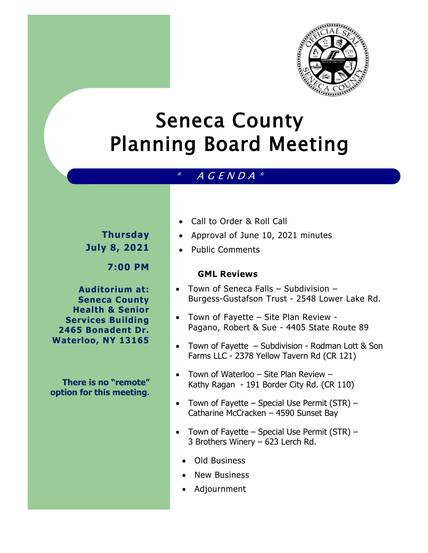

# Seneca County Planning Board Meeting

## $*$  A G E N D A  $*$

# **Thursday July 8, 2021**

**7:00 PM**

**Auditorium at: Seneca County Health & Senior Services Building 2465 Bonadent Dr. Waterloo, NY 13165**

**There is no "remote" option for this meeting.** 

- Call to Order & Roll Call
- Approval of June 10, 2021 minutes
- Public Comments

#### **GML Reviews**

- Town of Seneca Falls Subdivision Burgess-Gustafson Trust - 2548 Lower Lake Rd.
- Town of Fayette Site Plan Review Pagano, Robert & Sue - 4405 State Route 89
- Town of Fayette Subdivision Rodman Lott & Son Farms LLC - 2378 Yellow Tavern Rd (CR 121)
- Town of Waterloo Site Plan Review Kathy Ragan - 191 Border City Rd. (CR 110)
- Town of Fayette Special Use Permit (STR) Catharine McCracken – 4590 Sunset Bay
- Town of Fayette Special Use Permit  $(STR)$  3 Brothers Winery – 623 Lerch Rd.
	- Old Business
	- New Business
	- Adjournment